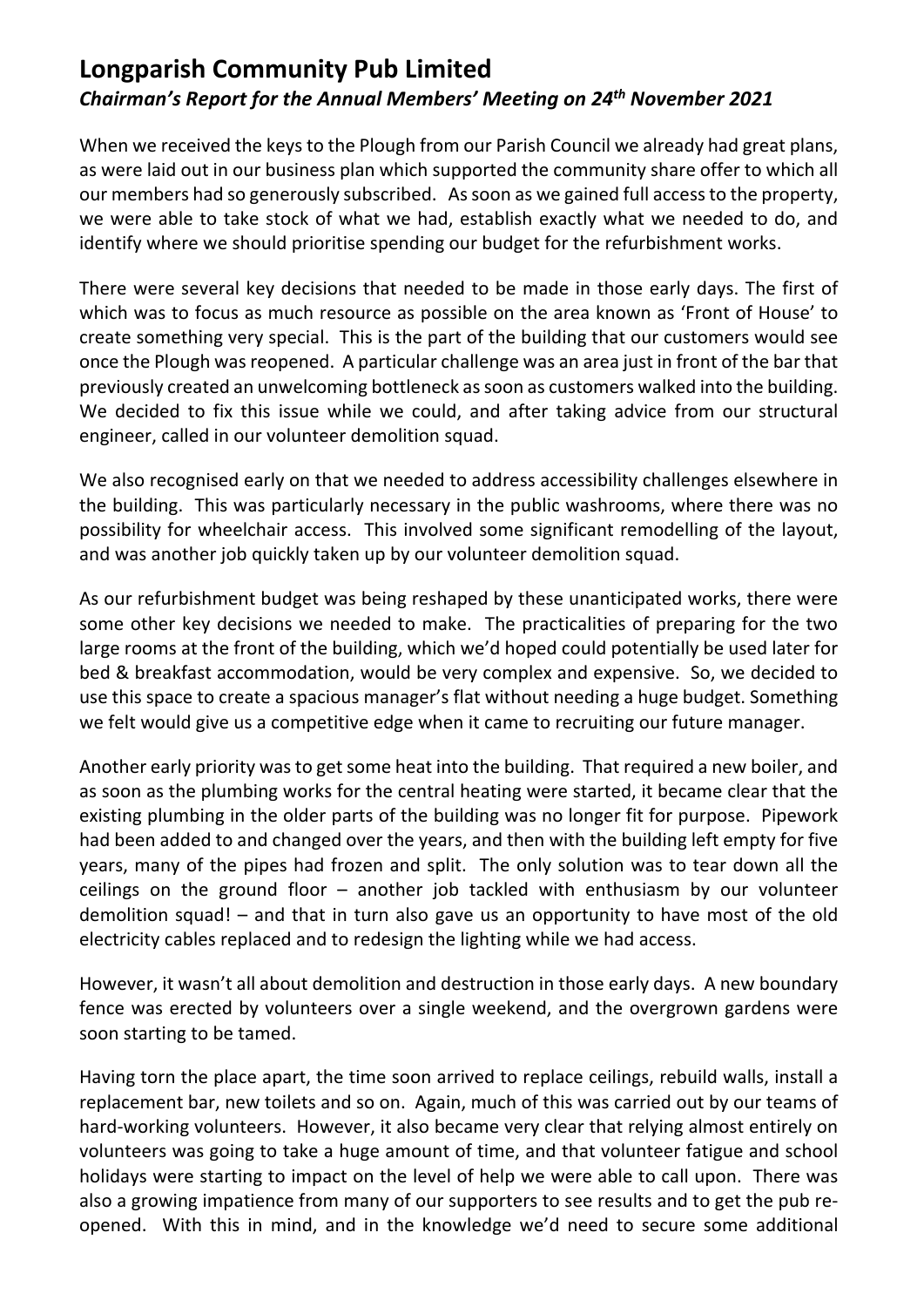# **Longparish Community Pub Limited** *Chairman's Report for the Annual Members' Meeting on 24th November 2021*

When we received the keys to the Plough from our Parish Council we already had great plans, as were laid out in our business plan which supported the community share offer to which all our members had so generously subscribed. As soon as we gained full access to the property, we were able to take stock of what we had, establish exactly what we needed to do, and identify where we should prioritise spending our budget for the refurbishment works.

There were several key decisions that needed to be made in those early days. The first of which was to focus as much resource as possible on the area known as 'Front of House' to create something very special. This is the part of the building that our customers would see once the Plough was reopened. A particular challenge was an area just in front of the bar that previously created an unwelcoming bottleneck as soon as customers walked into the building. We decided to fix this issue while we could, and after taking advice from our structural engineer, called in our volunteer demolition squad.

We also recognised early on that we needed to address accessibility challenges elsewhere in the building. This was particularly necessary in the public washrooms, where there was no possibility for wheelchair access. This involved some significant remodelling of the layout, and was another job quickly taken up by our volunteer demolition squad.

As our refurbishment budget was being reshaped by these unanticipated works, there were some other key decisions we needed to make. The practicalities of preparing for the two large rooms at the front of the building, which we'd hoped could potentially be used later for bed & breakfast accommodation, would be very complex and expensive. So, we decided to use this space to create a spacious manager's flat without needing a huge budget. Something we felt would give us a competitive edge when it came to recruiting our future manager.

Another early priority was to get some heat into the building. That required a new boiler, and as soon as the plumbing works for the central heating were started, it became clear that the existing plumbing in the older parts of the building was no longer fit for purpose. Pipework had been added to and changed over the years, and then with the building left empty for five years, many of the pipes had frozen and split. The only solution was to tear down all the ceilings on the ground floor – another job tackled with enthusiasm by our volunteer demolition squad! – and that in turn also gave us an opportunity to have most of the old electricity cables replaced and to redesign the lighting while we had access.

However, it wasn't all about demolition and destruction in those early days. A new boundary fence was erected by volunteers over a single weekend, and the overgrown gardens were soon starting to be tamed.

Having torn the place apart, the time soon arrived to replace ceilings, rebuild walls, install a replacement bar, new toilets and so on. Again, much of this was carried out by our teams of hard-working volunteers. However, it also became very clear that relying almost entirely on volunteers was going to take a huge amount of time, and that volunteer fatigue and school holidays were starting to impact on the level of help we were able to call upon. There was also a growing impatience from many of our supporters to see results and to get the pub reopened. With this in mind, and in the knowledge we'd need to secure some additional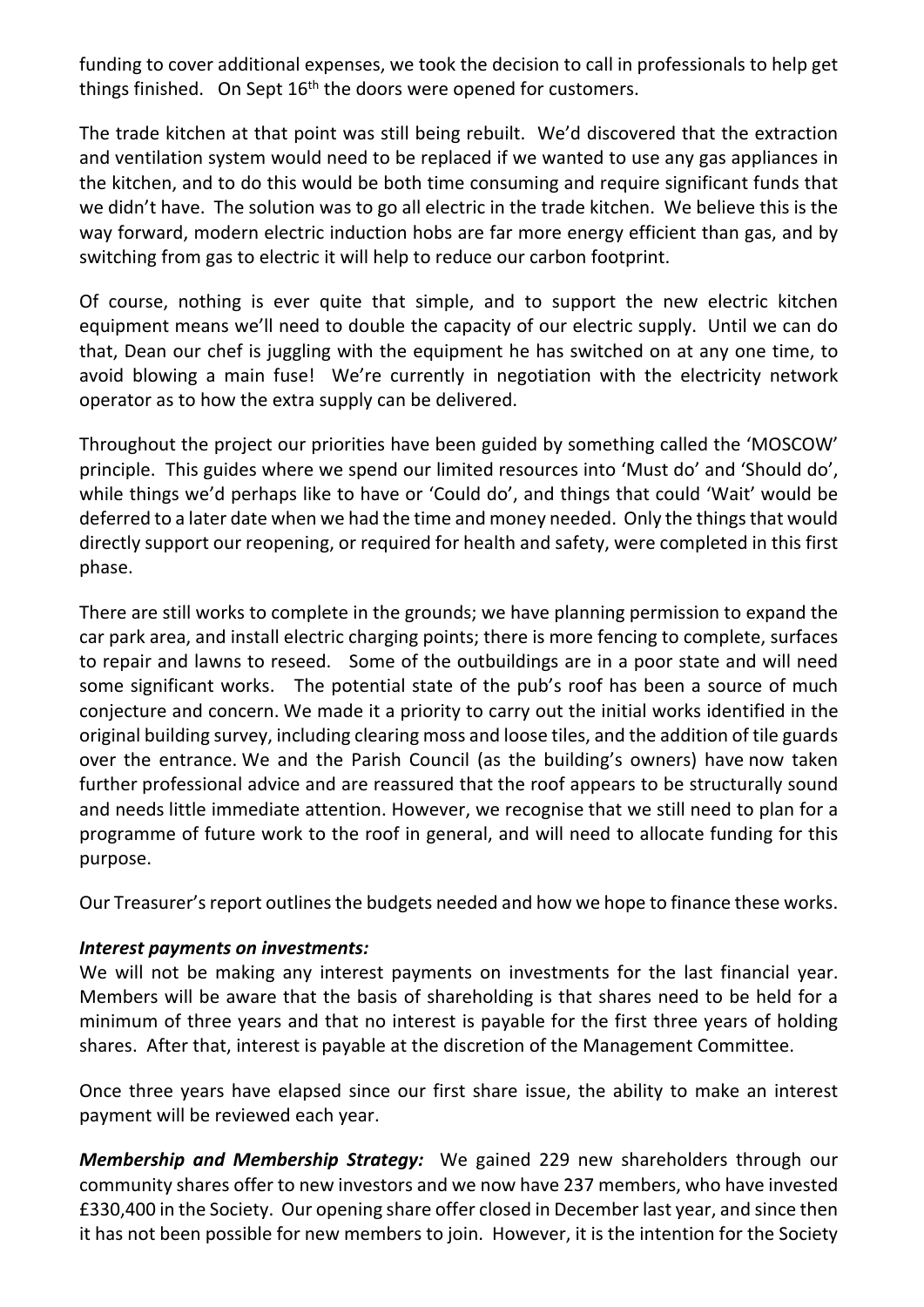funding to cover additional expenses, we took the decision to call in professionals to help get things finished. On Sept  $16<sup>th</sup>$  the doors were opened for customers.

The trade kitchen at that point was still being rebuilt. We'd discovered that the extraction and ventilation system would need to be replaced if we wanted to use any gas appliances in the kitchen, and to do this would be both time consuming and require significant funds that we didn't have. The solution was to go all electric in the trade kitchen. We believe this is the way forward, modern electric induction hobs are far more energy efficient than gas, and by switching from gas to electric it will help to reduce our carbon footprint.

Of course, nothing is ever quite that simple, and to support the new electric kitchen equipment means we'll need to double the capacity of our electric supply. Until we can do that, Dean our chef is juggling with the equipment he has switched on at any one time, to avoid blowing a main fuse! We're currently in negotiation with the electricity network operator as to how the extra supply can be delivered.

Throughout the project our priorities have been guided by something called the 'MOSCOW' principle. This guides where we spend our limited resources into 'Must do' and 'Should do', while things we'd perhaps like to have or 'Could do', and things that could 'Wait' would be deferred to a later date when we had the time and money needed. Only the things that would directly support our reopening, or required for health and safety, were completed in this first phase.

There are still works to complete in the grounds; we have planning permission to expand the car park area, and install electric charging points; there is more fencing to complete, surfaces to repair and lawns to reseed. Some of the outbuildings are in a poor state and will need some significant works. The potential state of the pub's roof has been a source of much conjecture and concern. We made it a priority to carry out the initial works identified in the original building survey, including clearing moss and loose tiles, and the addition of tile guards over the entrance. We and the Parish Council (as the building's owners) have now taken further professional advice and are reassured that the roof appears to be structurally sound and needs little immediate attention. However, we recognise that we still need to plan for a programme of future work to the roof in general, and will need to allocate funding for this purpose.

Our Treasurer's report outlines the budgets needed and how we hope to finance these works.

# *Interest payments on investments:*

We will not be making any interest payments on investments for the last financial year. Members will be aware that the basis of shareholding is that shares need to be held for a minimum of three years and that no interest is payable for the first three years of holding shares. After that, interest is payable at the discretion of the Management Committee.

Once three years have elapsed since our first share issue, the ability to make an interest payment will be reviewed each year.

*Membership and Membership Strategy:* We gained 229 new shareholders through our community shares offer to new investors and we now have 237 members, who have invested £330,400 in the Society. Our opening share offer closed in December last year, and since then it has not been possible for new members to join. However, it is the intention for the Society